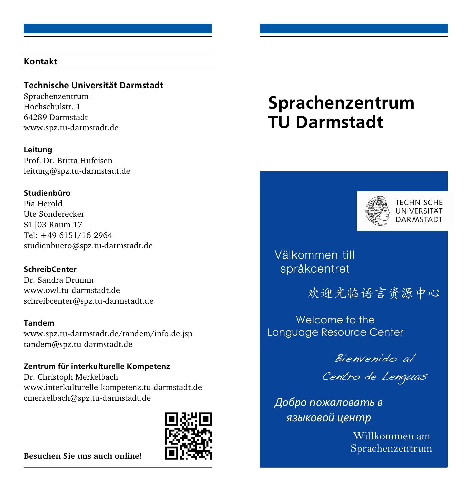#### Kontakt

#### Technische Universität Darmstadt

Sprachenzentrum Hochschulstr. 1 64289 Darmstadt www.spz.tu-darmstadt.de

Leitung Prof. Dr. Britta Hufeisen leitung@spz.tu-darmstadt.de

#### Studienbüro

Pia Herold Ute Sonderecker S1|03 Raum 17 Tel: +49 6151/16-2964 studienbuero@spz.tu-darmstadt.de

#### SchreibCenter

Dr. Sandra Drumm www.owl.tu-darmstadt.de schreibcenter@spz.tu-darmstadt.de

#### Tandem

www.spz.tu-darmstadt.de/tandem/info.de.jsp tandem@spz.tu-darmstadt.de

Zentrum für interkulturelle Kompetenz Dr. Christoph Merkelbach

www.interkulturelle-kompetenz.tu-darmstadt.de cmerkelbach@spz.tu-darmstadt.de



**Besuchen Sie uns auch online!** 

# Sprachenzentrum TU Darmstadt



**TFCHNISCHF** UNIVERSITÄT DAR MSTADI

## Välkommen till språkcentret

欢迎光临语言资源中心

Welcome to the Language Resource Center

Bienvenido al

Centro de Lenguas

*Добро пожаловать в языковой центр*

> Willkommen am Sprachenzentrum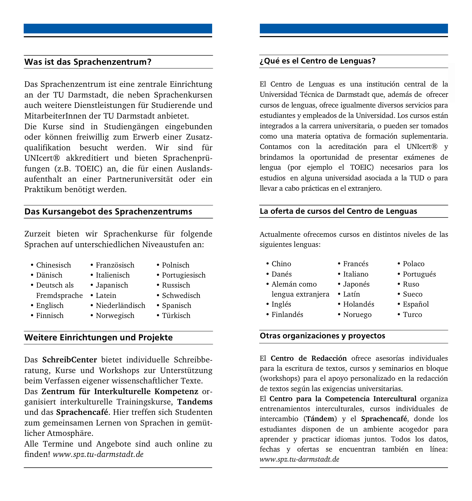#### Was ist das Sprachenzentrum?

Das Sprachenzentrum ist eine zentrale Einrichtung an der TU Darmstadt, die neben Sprachenkursen auch weitere Dienstleistungen für Studierende und MitarbeiterInnen der TU Darmstadt anbietet.

Die Kurse sind in Studiengängen eingebunden oder können freiwillig zum Erwerb einer Zusatzqualifikation besucht werden. Wir sind für UNIcert® akkreditiert und bieten Sprachenprüfungen (z.B. TOEIC) an, die für einen Auslandsaufenthalt an einer Partneruniversität oder ein Praktikum benötigt werden.

#### Das Kursangebot des Sprachenzentrums

Zurzeit bieten wir Sprachenkurse für folgende Sprachen auf unterschiedlichen Niveaustufen an:

- Chinesisch
- Dänisch • Deutsch als
- Italienisch
- 
- Fremdsprache Latein
- Englisch
- Finnisch
- Japanisch

• Französisch

- 
- Niederländisch
- Norwegisch
- Polnisch
- Portugiesisch
- Russisch
- Schwedisch
- Spanisch
- Türkisch

#### Weitere Einrichtungen und Projekte

Das **SchreibCenter** bietet individuelle Schreibberatung, Kurse und Workshops zur Unterstützung beim Verfassen eigener wissenschaftlicher Texte.

Das **Zentrum für Interkulturelle Kompetenz** organisiert interkulturelle Trainingskurse, **Tandems** und das **Sprachencafé**. Hier treffen sich Studenten zum gemeinsamen Lernen von Sprachen in gemütlicher Atmosphäre.

Alle Termine und Angebote sind auch online zu finden! *www.spz.tu-darmstadt.de*

#### ¿Qué es el Centro de Lenguas?

El Centro de Lenguas es una institución central de la Universidad Técnica de Darmstadt que, además de ofrecer cursos de lenguas, ofrece igualmente diversos servicios para estudiantes y empleados de la Universidad. Los cursos están integrados a la carrera universitaria, o pueden ser tomados como una materia optativa de formación suplementaria. Contamos con la acreditación para el UNIcert® y brindamos la oportunidad de presentar exámenes de lengua (por ejemplo el TOEIC) necesarios para los estudios en alguna universidad asociada a la TUD o para llevar a cabo prácticas en el extranjero.

#### La oferta de cursos del Centro de Lenguas

Accuanneme oncee<br>siguientes lenguas: Actualmente ofrecemos cursos en distintos niveles de las

> • Italiano • Japonés • Latín • Holandés • Noruego

• Polaco • Portugués  $\bullet$  R<sub>1150</sub> • Sueco • Español • Turco

- Willkommen am Sprachenzentrum Francés • Chino
- Danés
- Alemán como
- lengua extranjera
- Inglés
- Finlandés
- 
- 

#### Otras organizaciones y proyectos

El **Centro de Redacción** ofrece asesorías individuales para la escritura de textos, cursos y seminarios en bloque (workshops) para el apoyo personalizado en la redacción de textos según las exigencias universitarias.

El **Centro para la Competencia Intercultural** organiza entrenamientos interculturales, cursos individuales de intercambio (**Tándem**) y el **Sprachencafé**, donde los estudiantes disponen de un ambiente acogedor para aprender y practicar idiomas juntos. Todos los datos, fechas y ofertas se encuentran también en línea: *www.spz.tu-darmstadt.de*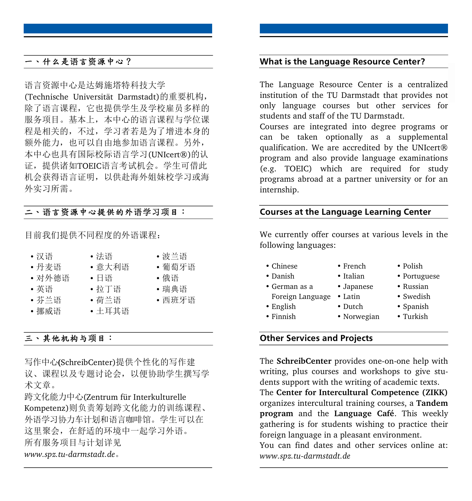#### 一丶什么是语言资源中心?

语言资源中心是达姆施塔特科技大学

(Technische Universität Darmstadt)的重要机构, 除了语言课程,它也提供学生及学校雇员多样的 服务项目。基本上,本中心的语言课程与学位课 程是相关的, 不过, 学习者若是为了增进本身的 额外能力, 也可以自由地参加语言课程。另外, 本中心也具有国际校际语言学习(UNIcert®)的认 证, 提供诸如TOEIC语言考试机会。学生可借此 机会获得语言证明, 以供赴海外姐妹校学习或海 外实习所需。

### 二丶语言资源中心提供的外语学习项目:

目前我们提供不同程度的外语课程:

- 汉语
- 丹麦语
- 对外德语
- 英语
- •芬兰语
- 挪威语
- $\bullet$   $\Box$  $\bullet$   $\hbar$  T 语

• 法语 • 意大利语

• 波兰语 • 葡萄牙语 •俄语 • 瑞典语 • 西班牙语

- 荷兰语
- 土耳其语

#### 三、其他机构与项目:

写作中心(SchreibCenter)提供个性化的写作建 议、课程以及专题讨论会,以便协助学生撰写学 术文章。

跨文化能力中心(Zentrum für Interkulturelle

Kompetenz)则负责筹划跨文化能力的训练课程、 外语学习协力车计划和语言咖啡馆。学生可以在 这里聚会, 在舒适的环境中一起学习外语。 所有服务项目与计划详见 *www.spz.tu-darmstadt.de*

#### What is the Language Resource Center?

The Language Resource Center is a centralized institution of the TU Darmstadt that provides not only language courses but other services for students and staff of the TU Darmstadt.

Courses are integrated into degree programs or can be taken optionally as a supplemental qualification. We are accredited by the UNIcert® program and also provide language examinations (e.g. TOEIC) which are required for study programs abroad at a partner university or for an internship.

#### Courses at the Language Learning Center

we currently oner c<br>following languages: We currently offer courses at various levels in the

> • French • Italian

- $\mathbb{R}^n$ • Chinese
- Cinnese<br>• Danish
- German as a
- Foreign Language Latin
- English
- Finnish

#### Other Services and Projects

The **SchreibCenter** provides one-on-one help with writing, plus courses and workshops to give students support with the writing of academic texts.

The **Center for Intercultural Competence (ZIKK)** organizes intercultural training courses, a **Tandem program** and the **Language Café**. This weekly gathering is for students wishing to practice their foreign language in a pleasant environment.

You can find dates and other services online at: *www.spz.tu-darmstadt.de*

- Dutch
- 
- 
- Japanese
	- -
- Spanish • Turkish

• Polish • Portuguese

- Norwegian
- Russian • Swedish
-